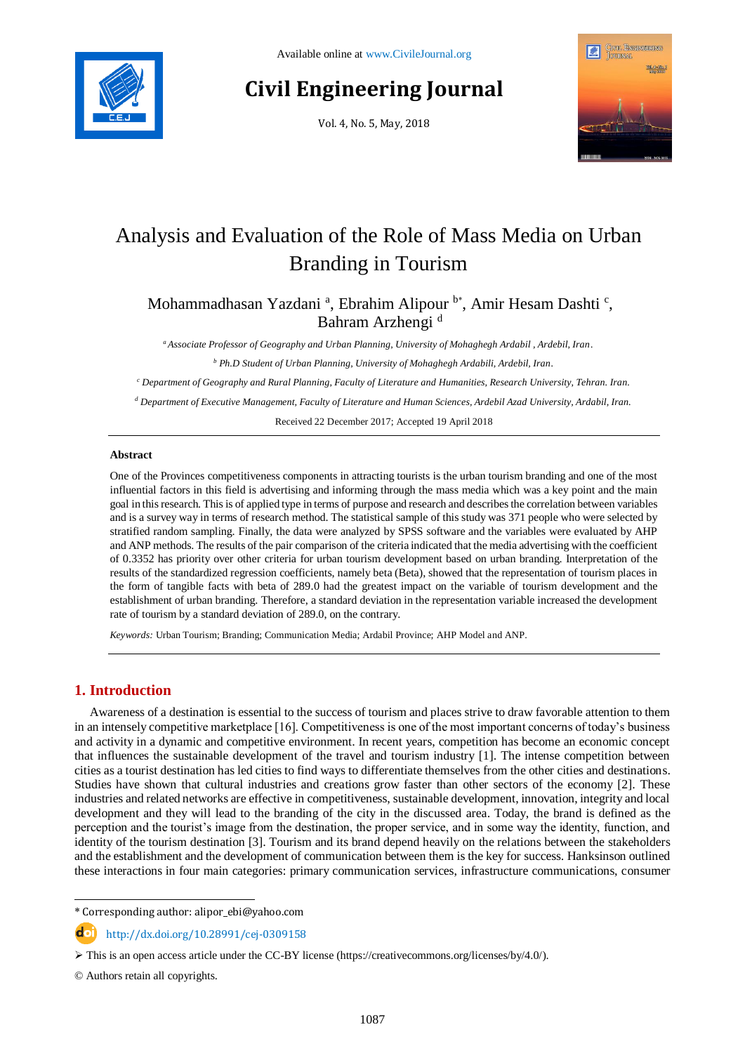# **Civil Engineering Journal**

Vol. 4, No. 5, May, 2018



## Analysis and Evaluation of the Role of Mass Media on Urban Branding in Tourism

Mohammadhasan Yazdani<sup>a</sup>, Ebrahim Alipour <sup>b\*</sup>, Amir Hesam Dashti<sup>c</sup>, Bahram Arzhengi<sup>d</sup>

*<sup>a</sup> Associate Professor of Geography and Urban Planning, University of Mohaghegh Ardabil , Ardebil, Iran.*

*<sup>b</sup> Ph.D Student of Urban Planning, University of Mohaghegh Ardabili, Ardebil, Iran.*

*<sup>c</sup> Department of Geography and Rural Planning, Faculty of Literature and Humanities, Research University, Tehran. Iran.*

*<sup>d</sup> Department of Executive Management, Faculty of Literature and Human Sciences, Ardebil Azad University, Ardabil, Iran.*

Received 22 December 2017; Accepted 19 April 2018

#### **Abstract**

One of the Provinces competitiveness components in attracting tourists is the urban tourism branding and one of the most influential factors in this field is advertising and informing through the mass media which was a key point and the main goal in this research. This is of applied type in terms of purpose and research and describes the correlation between variables and is a survey way in terms of research method. The statistical sample of this study was 371 people who were selected by stratified random sampling. Finally, the data were analyzed by SPSS software and the variables were evaluated by AHP and ANP methods. The results of the pair comparison of the criteria indicated that the media advertising with the coefficient of 0.3352 has priority over other criteria for urban tourism development based on urban branding. Interpretation of the results of the standardized regression coefficients, namely beta (Beta), showed that the representation of tourism places in the form of tangible facts with beta of 289.0 had the greatest impact on the variable of tourism development and the establishment of urban branding. Therefore, a standard deviation in the representation variable increased the development rate of tourism by a standard deviation of 289.0, on the contrary.

*Keywords:* Urban Tourism; Branding; Communication Media; Ardabil Province; AHP Model and ANP.

## **1. Introduction**

Awareness of a destination is essential to the success of tourism and places strive to draw favorable attention to them in an intensely competitive marketplace [16]. Competitiveness is one of the most important concerns of today's business and activity in a dynamic and competitive environment. In recent years, competition has become an economic concept that influences the sustainable development of the travel and tourism industry [1]. The intense competition between cities as a tourist destination has led cities to find ways to differentiate themselves from the other cities and destinations. Studies have shown that cultural industries and creations grow faster than other sectors of the economy [2]. These industries and related networks are effective in competitiveness, sustainable development, innovation, integrity and local development and they will lead to the branding of the city in the discussed area. Today, the brand is defined as the perception and the tourist's image from the destination, the proper service, and in some way the identity, function, and identity of the tourism destination [3]. Tourism and its brand depend heavily on the relations between the stakeholders and the establishment and the development of communication between them is the key for success. Hanksinson outlined these interactions in four main categories: primary communication services, infrastructure communications, consumer

\* Corresponding author: alipor\_ebi@yahoo.com

http://dx.doi.org/10.28991/cej-0309158

© Authors retain all copyrights.

l

 $\triangleright$  This is an open access article under the CC-BY license [\(https://creativecommons.org/licenses/by/4.0/\)](https://creativecommons.org/licenses/by/4.0/).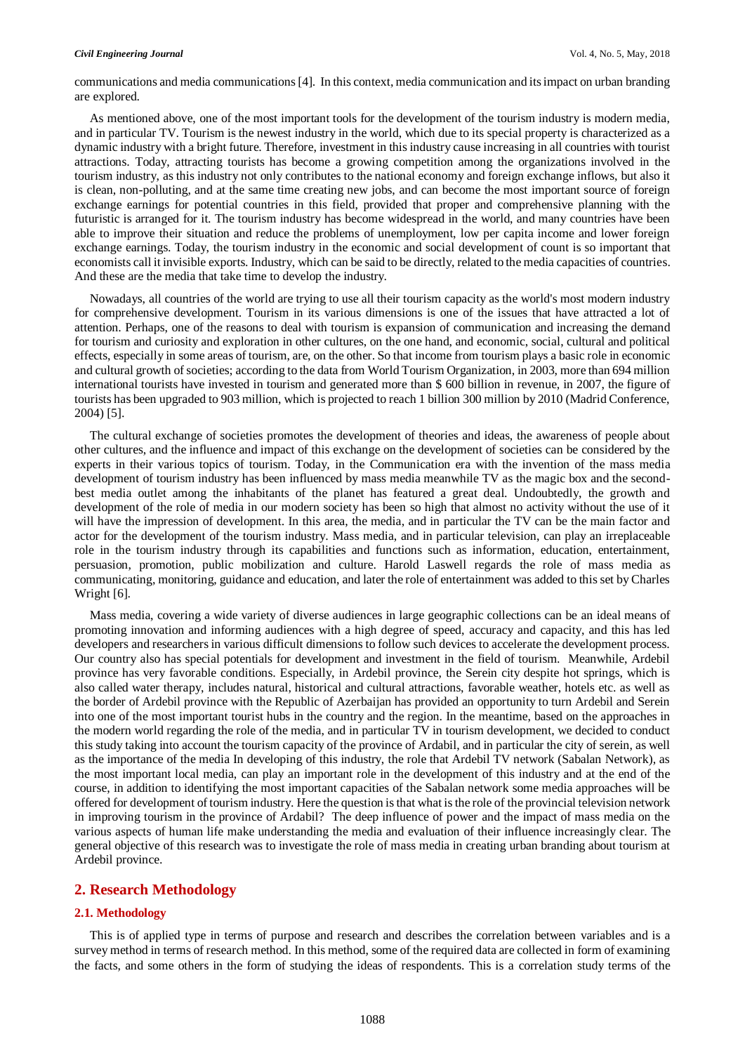#### *Civil Engineering Journal* Vol. 4, No. 5, May, 2018

communications and media communications [4]. In this context, media communication and its impact on urban branding are explored.

As mentioned above, one of the most important tools for the development of the tourism industry is modern media, and in particular TV. Tourism is the newest industry in the world, which due to its special property is characterized as a dynamic industry with a bright future. Therefore, investment in this industry cause increasing in all countries with tourist attractions. Today, attracting tourists has become a growing competition among the organizations involved in the tourism industry, as this industry not only contributes to the national economy and foreign exchange inflows, but also it is clean, non-polluting, and at the same time creating new jobs, and can become the most important source of foreign exchange earnings for potential countries in this field, provided that proper and comprehensive planning with the futuristic is arranged for it. The tourism industry has become widespread in the world, and many countries have been able to improve their situation and reduce the problems of unemployment, low per capita income and lower foreign exchange earnings. Today, the tourism industry in the economic and social development of count is so important that economists call it invisible exports. Industry, which can be said to be directly, related to the media capacities of countries. And these are the media that take time to develop the industry.

Nowadays, all countries of the world are trying to use all their tourism capacity as the world's most modern industry for comprehensive development. Tourism in its various dimensions is one of the issues that have attracted a lot of attention. Perhaps, one of the reasons to deal with tourism is expansion of communication and increasing the demand for tourism and curiosity and exploration in other cultures, on the one hand, and economic, social, cultural and political effects, especially in some areas of tourism, are, on the other. So that income from tourism plays a basic role in economic and cultural growth of societies; according to the data from World Tourism Organization, in 2003, more than 694 million international tourists have invested in tourism and generated more than \$ 600 billion in revenue, in 2007, the figure of tourists has been upgraded to 903 million, which is projected to reach 1 billion 300 million by 2010 (Madrid Conference, 2004) [5].

The cultural exchange of societies promotes the development of theories and ideas, the awareness of people about other cultures, and the influence and impact of this exchange on the development of societies can be considered by the experts in their various topics of tourism. Today, in the Communication era with the invention of the mass media development of tourism industry has been influenced by mass media meanwhile TV as the magic box and the secondbest media outlet among the inhabitants of the planet has featured a great deal. Undoubtedly, the growth and development of the role of media in our modern society has been so high that almost no activity without the use of it will have the impression of development. In this area, the media, and in particular the TV can be the main factor and actor for the development of the tourism industry. Mass media, and in particular television, can play an irreplaceable role in the tourism industry through its capabilities and functions such as information, education, entertainment, persuasion, promotion, public mobilization and culture. Harold Laswell regards the role of mass media as communicating, monitoring, guidance and education, and later the role of entertainment was added to this set by Charles Wright [6].

Mass media, covering a wide variety of diverse audiences in large geographic collections can be an ideal means of promoting innovation and informing audiences with a high degree of speed, accuracy and capacity, and this has led developers and researchers in various difficult dimensions to follow such devices to accelerate the development process. Our country also has special potentials for development and investment in the field of tourism. Meanwhile, Ardebil province has very favorable conditions. Especially, in Ardebil province, the Serein city despite hot springs, which is also called water therapy, includes natural, historical and cultural attractions, favorable weather, hotels etc. as well as the border of Ardebil province with the Republic of Azerbaijan has provided an opportunity to turn Ardebil and Serein into one of the most important tourist hubs in the country and the region. In the meantime, based on the approaches in the modern world regarding the role of the media, and in particular TV in tourism development, we decided to conduct this study taking into account the tourism capacity of the province of Ardabil, and in particular the city of serein, as well as the importance of the media In developing of this industry, the role that Ardebil TV network (Sabalan Network), as the most important local media, can play an important role in the development of this industry and at the end of the course, in addition to identifying the most important capacities of the Sabalan network some media approaches will be offered for development of tourism industry. Here the question is that what is the role of the provincial television network in improving tourism in the province of Ardabil? The deep influence of power and the impact of mass media on the various aspects of human life make understanding the media and evaluation of their influence increasingly clear. The general objective of this research was to investigate the role of mass media in creating urban branding about tourism at Ardebil province.

#### **2. Research Methodology**

#### **2.1. Methodology**

This is of applied type in terms of purpose and research and describes the correlation between variables and is a survey method in terms of research method. In this method, some of the required data are collected in form of examining the facts, and some others in the form of studying the ideas of respondents. This is a correlation study terms of the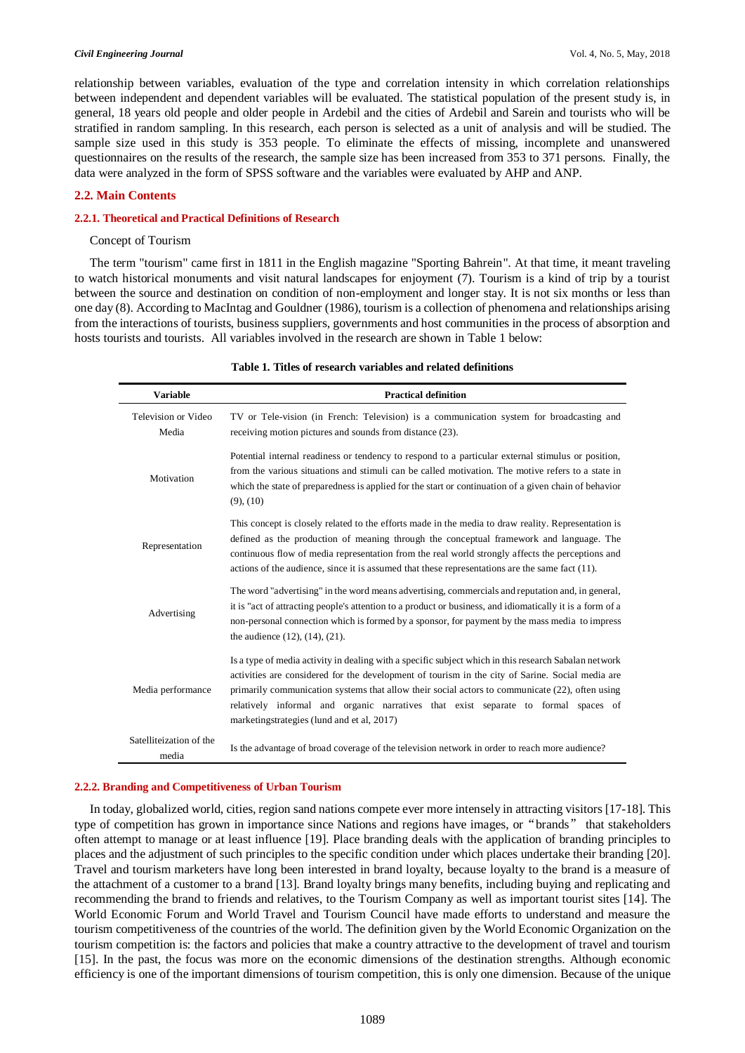#### *Civil Engineering Journal* Vol. 4, No. 5, May, 2018

relationship between variables, evaluation of the type and correlation intensity in which correlation relationships between independent and dependent variables will be evaluated. The statistical population of the present study is, in general, 18 years old people and older people in Ardebil and the cities of Ardebil and Sarein and tourists who will be stratified in random sampling. In this research, each person is selected as a unit of analysis and will be studied. The sample size used in this study is 353 people. To eliminate the effects of missing, incomplete and unanswered questionnaires on the results of the research, the sample size has been increased from 353 to 371 persons. Finally, the data were analyzed in the form of SPSS software and the variables were evaluated by AHP and ANP.

#### **2.2. Main Contents**

#### **2.2.1. Theoretical and Practical Definitions of Research**

#### Concept of Tourism

The term "tourism" came first in 1811 in the English magazine "Sporting Bahrein". At that time, it meant traveling to watch historical monuments and visit natural landscapes for enjoyment (7). Tourism is a kind of trip by a tourist between the source and destination on condition of non-employment and longer stay. It is not six months or less than one day (8). According to MacIntag and Gouldner (1986), tourism is a collection of phenomena and relationships arising from the interactions of tourists, business suppliers, governments and host communities in the process of absorption and hosts tourists and tourists. All variables involved in the research are shown in Table 1 below:

| Variable                         | <b>Practical definition</b>                                                                                                                                                                                                                                                                                                                                                                                                                      |
|----------------------------------|--------------------------------------------------------------------------------------------------------------------------------------------------------------------------------------------------------------------------------------------------------------------------------------------------------------------------------------------------------------------------------------------------------------------------------------------------|
| Television or Video<br>Media     | TV or Tele-vision (in French: Television) is a communication system for broadcasting and<br>receiving motion pictures and sounds from distance (23).                                                                                                                                                                                                                                                                                             |
| Motivation                       | Potential internal readiness or tendency to respond to a particular external stimulus or position,<br>from the various situations and stimuli can be called motivation. The motive refers to a state in<br>which the state of preparedness is applied for the start or continuation of a given chain of behavior<br>$(9)$ , $(10)$                                                                                                               |
| Representation                   | This concept is closely related to the efforts made in the media to draw reality. Representation is<br>defined as the production of meaning through the conceptual framework and language. The<br>continuous flow of media representation from the real world strongly affects the perceptions and<br>actions of the audience, since it is assumed that these representations are the same fact (11).                                            |
| Advertising                      | The word "advertising" in the word means advertising, commercials and reputation and, in general,<br>it is "act of attracting people's attention to a product or business, and idiomatically it is a form of a<br>non-personal connection which is formed by a sponsor, for payment by the mass media to impress<br>the audience $(12)$ , $(14)$ , $(21)$ .                                                                                      |
| Media performance                | Is a type of media activity in dealing with a specific subject which in this research Sabalan network<br>activities are considered for the development of tourism in the city of Sarine. Social media are<br>primarily communication systems that allow their social actors to communicate (22), often using<br>relatively informal and organic narratives that exist separate to formal spaces of<br>marketingstrategies (lund and et al, 2017) |
| Satelliteization of the<br>media | Is the advantage of broad coverage of the television network in order to reach more audience?                                                                                                                                                                                                                                                                                                                                                    |

#### **Table 1. Titles of research variables and related definitions**

#### **2.2.2. Branding and Competitiveness of Urban Tourism**

In today, globalized world, cities, region sand nations compete ever more intensely in attracting visitors [17-18]. This type of competition has grown in importance since Nations and regions have images, or"brands" that stakeholders often attempt to manage or at least influence [19]. Place branding deals with the application of branding principles to places and the adjustment of such principles to the specific condition under which places undertake their branding [20]. Travel and tourism marketers have long been interested in brand loyalty, because loyalty to the brand is a measure of the attachment of a customer to a brand [13]. Brand loyalty brings many benefits, including buying and replicating and recommending the brand to friends and relatives, to the Tourism Company as well as important tourist sites [14]. The World Economic Forum and World Travel and Tourism Council have made efforts to understand and measure the tourism competitiveness of the countries of the world. The definition given by the World Economic Organization on the tourism competition is: the factors and policies that make a country attractive to the development of travel and tourism [15]. In the past, the focus was more on the economic dimensions of the destination strengths. Although economic efficiency is one of the important dimensions of tourism competition, this is only one dimension. Because of the unique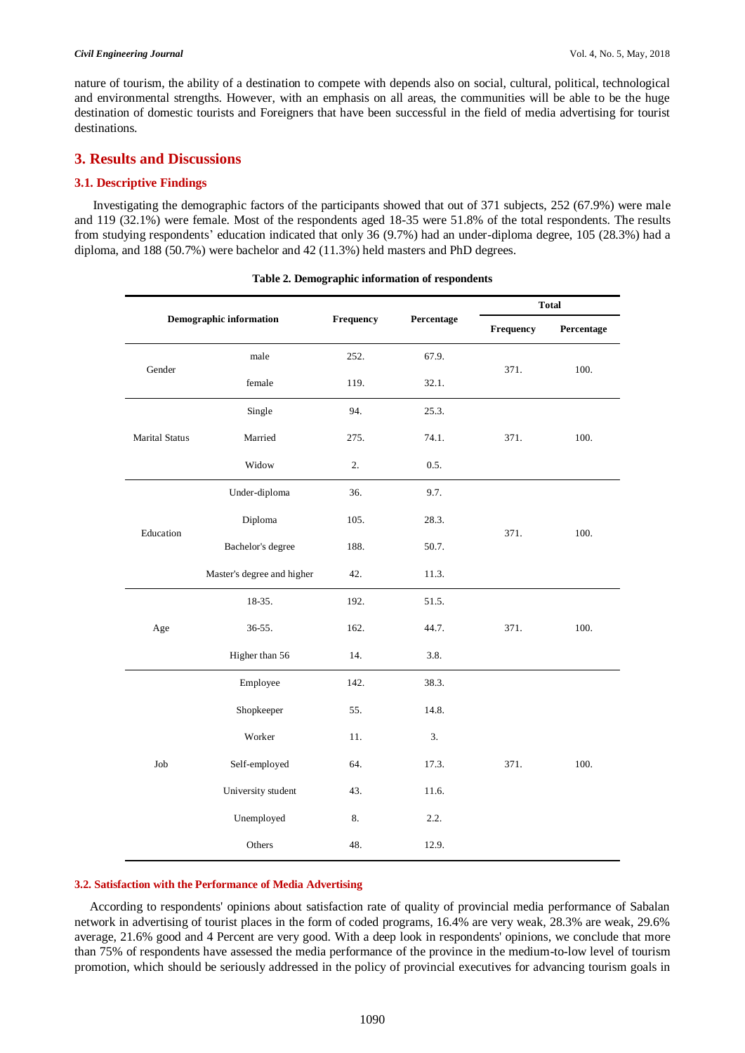nature of tourism, the ability of a destination to compete with depends also on social, cultural, political, technological and environmental strengths. However, with an emphasis on all areas, the communities will be able to be the huge destination of domestic tourists and Foreigners that have been successful in the field of media advertising for tourist destinations.

## **3. Results and Discussions**

### **3.1. Descriptive Findings**

Investigating the demographic factors of the participants showed that out of 371 subjects, 252 (67.9%) were male and 119 (32.1%) were female. Most of the respondents aged 18-35 were 51.8% of the total respondents. The results from studying respondents' education indicated that only 36 (9.7%) had an under-diploma degree, 105 (28.3%) had a diploma, and 188 (50.7%) were bachelor and 42 (11.3%) held masters and PhD degrees.

| <b>Demographic information</b> |                            | Frequency |            | <b>Total</b> |            |  |
|--------------------------------|----------------------------|-----------|------------|--------------|------------|--|
|                                |                            |           | Percentage | Frequency    | Percentage |  |
|                                | male                       | 252.      | 67.9.      |              | 100.       |  |
| Gender                         | female                     | 119.      | 32.1.      | 371.         |            |  |
|                                | Single                     | 94.       | 25.3.      |              |            |  |
| <b>Marital Status</b>          | Married                    | 275.      | 74.1.      | 371.         | 100.       |  |
|                                | Widow                      | 2.        | 0.5.       |              |            |  |
|                                | Under-diploma              | 36.       | 9.7.       |              | 100.       |  |
|                                | Diploma                    | 105.      | 28.3.      |              |            |  |
| Education                      | Bachelor's degree          | 188.      | 50.7.      | 371.         |            |  |
|                                | Master's degree and higher | 42.       | 11.3.      |              |            |  |
|                                | 18-35.                     | 192.      | 51.5.      |              |            |  |
| Age                            | 36-55.                     | 162.      | 44.7.      | 371.         | 100.       |  |
|                                | Higher than 56             | 14.       | 3.8.       |              |            |  |
|                                | Employee                   | 142.      | 38.3.      |              |            |  |
| Job                            | Shopkeeper                 | 55.       | 14.8.      |              |            |  |
|                                | Worker                     | 11.       | 3.         |              |            |  |
|                                | Self-employed              | 64.       | 17.3.      | 371.         | 100.       |  |
|                                | University student         | 43.       | 11.6.      |              |            |  |
|                                | Unemployed                 | 8.        | 2.2.       |              |            |  |
|                                | Others                     | 48.       | 12.9.      |              |            |  |

|  |  |  | Table 2. Demographic information of respondents |
|--|--|--|-------------------------------------------------|
|--|--|--|-------------------------------------------------|

#### **3.2. Satisfaction with the Performance of Media Advertising**

According to respondents' opinions about satisfaction rate of quality of provincial media performance of Sabalan network in advertising of tourist places in the form of coded programs, 16.4% are very weak, 28.3% are weak, 29.6% average, 21.6% good and 4 Percent are very good. With a deep look in respondents' opinions, we conclude that more than 75% of respondents have assessed the media performance of the province in the medium-to-low level of tourism promotion, which should be seriously addressed in the policy of provincial executives for advancing tourism goals in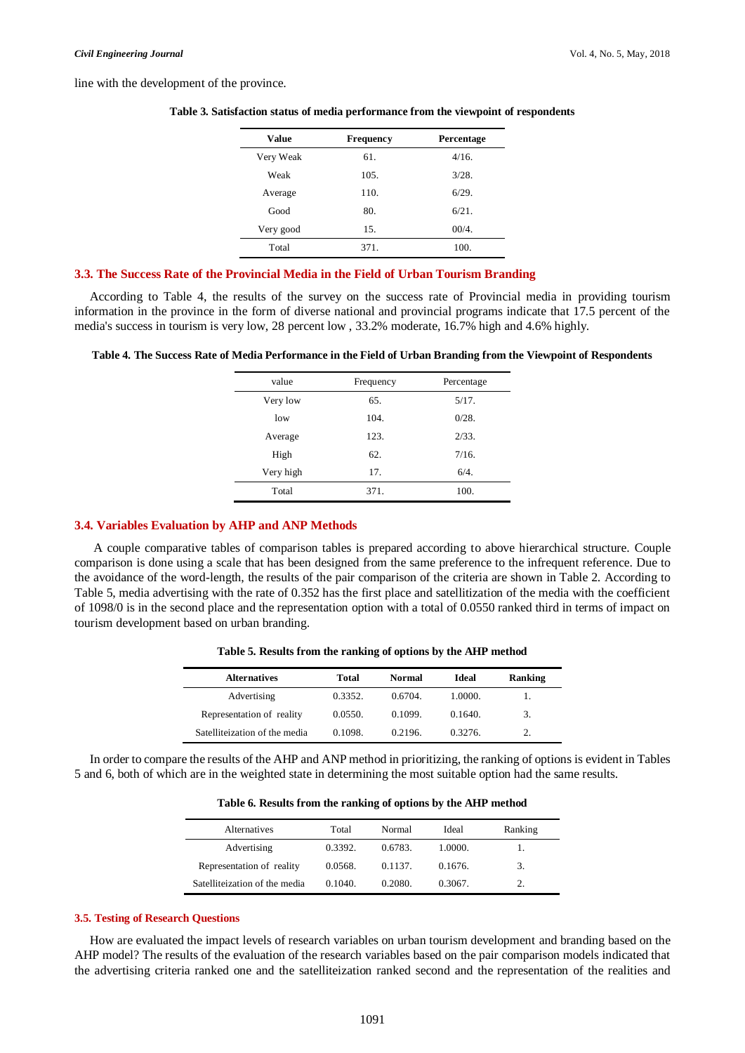line with the development of the province.

| Value     | <b>Frequency</b> | Percentage |
|-----------|------------------|------------|
| Very Weak | 61.              | 4/16.      |
| Weak      | 105.             | $3/28$ .   |
| Average   | 110.             | 6/29.      |
| Good      | 80.              | 6/21.      |
| Very good | 15.              | 00/4.      |
| Total     | 371.             | 100.       |

**Table 3. Satisfaction status of media performance from the viewpoint of respondents**

#### **3.3. The Success Rate of the Provincial Media in the Field of Urban Tourism Branding**

According to Table 4, the results of the survey on the success rate of Provincial media in providing tourism information in the province in the form of diverse national and provincial programs indicate that 17.5 percent of the media's success in tourism is very low, 28 percent low , 33.2% moderate, 16.7% high and 4.6% highly.

**Table 4. The Success Rate of Media Performance in the Field of Urban Branding from the Viewpoint of Respondents**

| value     | Frequency | Percentage |
|-----------|-----------|------------|
| Very low  | 65.       | 5/17.      |
| low       | 104.      | 0/28.      |
| Average   | 123.      | 2/33.      |
| High      | 62.       | 7/16.      |
| Very high | 17.       | 6/4.       |
| Total     | 371.      | 100.       |

#### **3.4. Variables Evaluation by AHP and ANP Methods**

A couple comparative tables of comparison tables is prepared according to above hierarchical structure. Couple comparison is done using a scale that has been designed from the same preference to the infrequent reference. Due to the avoidance of the word-length, the results of the pair comparison of the criteria are shown in Table 2. According to Table 5, media advertising with the rate of 0.352 has the first place and satellitization of the media with the coefficient of 1098/0 is in the second place and the representation option with a total of 0.0550 ranked third in terms of impact on tourism development based on urban branding.

| <b>Alternatives</b>           | Total   | Normal  | Ideal   | Ranking |
|-------------------------------|---------|---------|---------|---------|
| Advertising                   | 0.3352. | 0.6704. | 1.0000. |         |
| Representation of reality     | 0.0550. | 0.1099. | 0.1640. | 3.      |
| Satelliteization of the media | 0.1098  | 0.2196  | 0.32.76 | 2.      |

**Table 5. Results from the ranking of options by the AHP method**

In order to compare the results of the AHP and ANP method in prioritizing, the ranking of options is evident in Tables 5 and 6, both of which are in the weighted state in determining the most suitable option had the same results.

**Table 6. Results from the ranking of options by the AHP method**

| Alternatives                  | Total   | Normal  | Ideal   | Ranking |
|-------------------------------|---------|---------|---------|---------|
| Advertising                   | 0.3392. | 0.6783. | 1.0000. |         |
| Representation of reality     | 0.0568. | 0.1137. | 0.1676. | 3.      |
| Satelliteization of the media | 0.1040  | 0.2080. | 0.3067  |         |

#### **3.5. Testing of Research Questions**

How are evaluated the impact levels of research variables on urban tourism development and branding based on the AHP model? The results of the evaluation of the research variables based on the pair comparison models indicated that the advertising criteria ranked one and the satelliteization ranked second and the representation of the realities and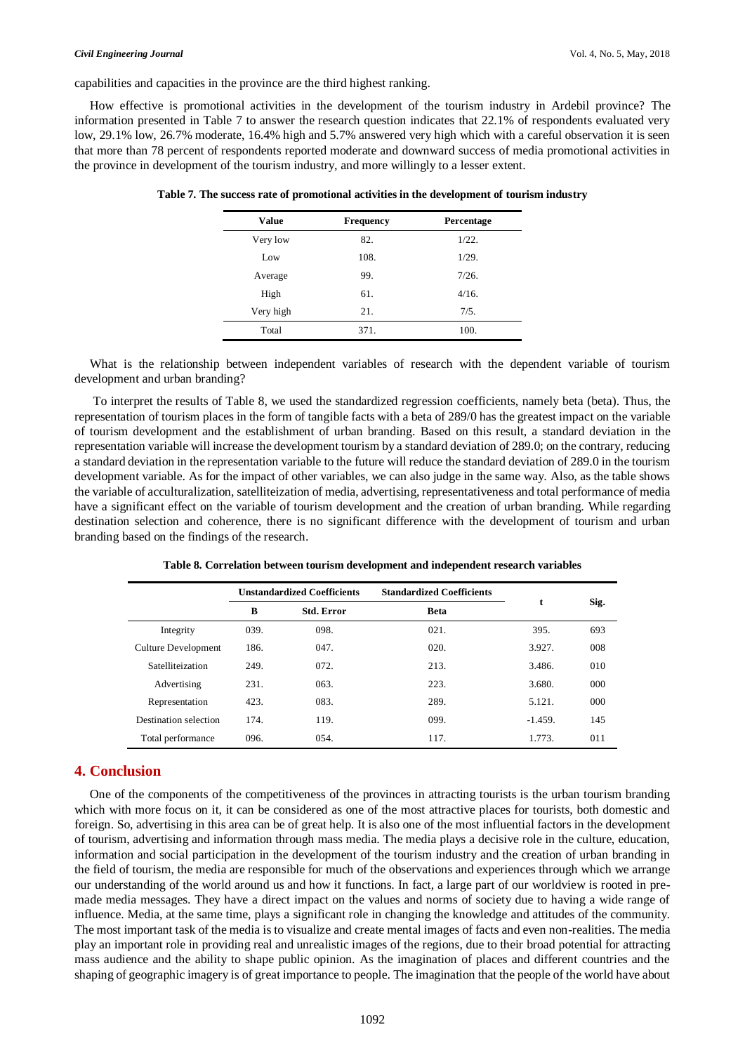capabilities and capacities in the province are the third highest ranking.

How effective is promotional activities in the development of the tourism industry in Ardebil province? The information presented in Table 7 to answer the research question indicates that 22.1% of respondents evaluated very low, 29.1% low, 26.7% moderate, 16.4% high and 5.7% answered very high which with a careful observation it is seen that more than 78 percent of respondents reported moderate and downward success of media promotional activities in the province in development of the tourism industry, and more willingly to a lesser extent.

| Value     | <b>Frequency</b> | Percentage |
|-----------|------------------|------------|
| Very low  | 82.              | 1/22.      |
| Low       | 108.             | 1/29.      |
| Average   | 99.              | 7/26.      |
| High      | 61.              | 4/16.      |
| Very high | 21.              | 7/5.       |
| Total     | 371.             | 100.       |

**Table 7. The success rate of promotional activities in the development of tourism industry**

What is the relationship between independent variables of research with the dependent variable of tourism development and urban branding?

To interpret the results of Table 8, we used the standardized regression coefficients, namely beta (beta). Thus, the representation of tourism places in the form of tangible facts with a beta of 289/0 has the greatest impact on the variable of tourism development and the establishment of urban branding. Based on this result, a standard deviation in the representation variable will increase the development tourism by a standard deviation of 289.0; on the contrary, reducing a standard deviation in the representation variable to the future will reduce the standard deviation of 289.0 in the tourism development variable. As for the impact of other variables, we can also judge in the same way. Also, as the table shows the variable of acculturalization, satelliteization of media, advertising, representativeness and total performance of media have a significant effect on the variable of tourism development and the creation of urban branding. While regarding destination selection and coherence, there is no significant difference with the development of tourism and urban branding based on the findings of the research.

|                       | <b>Unstandardized Coefficients</b> |                   | <b>Standardized Coefficients</b> | t         |      |
|-----------------------|------------------------------------|-------------------|----------------------------------|-----------|------|
|                       | B                                  | <b>Std. Error</b> | <b>Beta</b>                      |           | Sig. |
| Integrity             | 039.                               | 098.              | 021.                             | 395.      | 693  |
| Culture Development   | 186.                               | 047.              | 020.                             | 3.927.    | 008  |
| Satelliteization      | 249.                               | 072.              | 213.                             | 3.486.    | 010  |
| Advertising           | 231.                               | 063.              | 223.                             | 3.680.    | 000  |
| Representation        | 423.                               | 083.              | 289.                             | 5.121.    | 000  |
| Destination selection | 174.                               | 119.              | 099.                             | $-1.459.$ | 145  |
| Total performance     | 096.                               | 054.              | 117.                             | 1.773.    | 011  |

**Table 8. Correlation between tourism development and independent research variables**

## **4. Conclusion**

One of the components of the competitiveness of the provinces in attracting tourists is the urban tourism branding which with more focus on it, it can be considered as one of the most attractive places for tourists, both domestic and foreign. So, advertising in this area can be of great help. It is also one of the most influential factors in the development of tourism, advertising and information through mass media. The media plays a decisive role in the culture, education, information and social participation in the development of the tourism industry and the creation of urban branding in the field of tourism, the media are responsible for much of the observations and experiences through which we arrange our understanding of the world around us and how it functions. In fact, a large part of our worldview is rooted in premade media messages. They have a direct impact on the values and norms of society due to having a wide range of influence. Media, at the same time, plays a significant role in changing the knowledge and attitudes of the community. The most important task of the media is to visualize and create mental images of facts and even non-realities. The media play an important role in providing real and unrealistic images of the regions, due to their broad potential for attracting mass audience and the ability to shape public opinion. As the imagination of places and different countries and the shaping of geographic imagery is of great importance to people. The imagination that the people of the world have about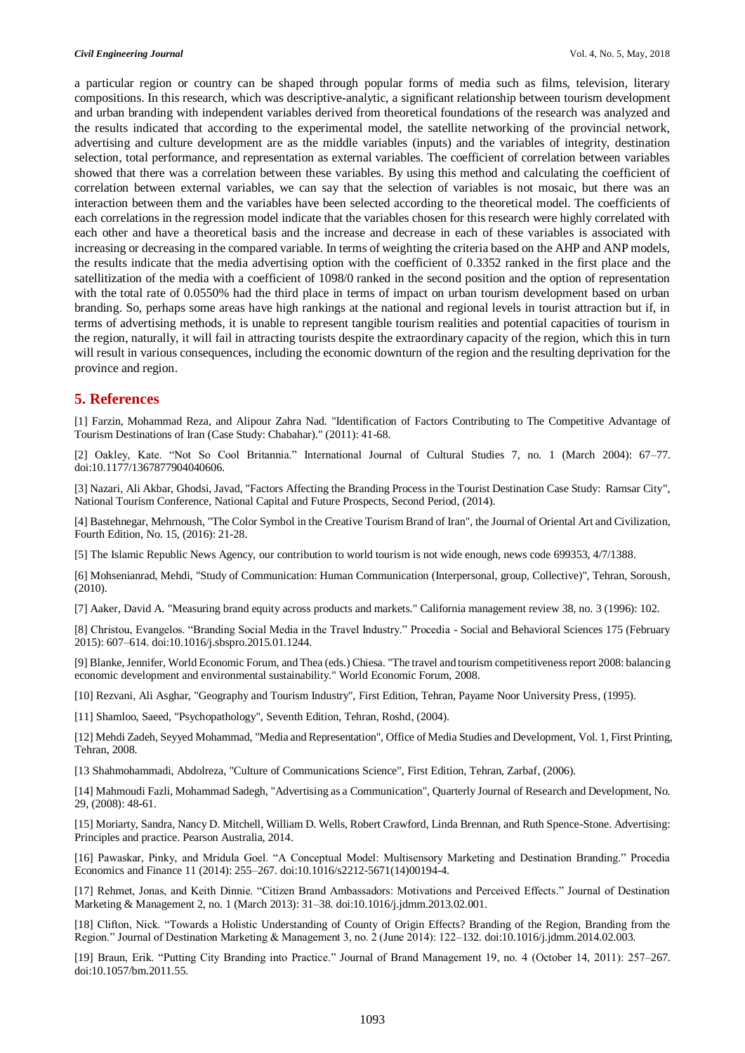#### *Civil Engineering Journal* Vol. 4, No. 5, May, 2018

a particular region or country can be shaped through popular forms of media such as films, television, literary compositions. In this research, which was descriptive-analytic, a significant relationship between tourism development and urban branding with independent variables derived from theoretical foundations of the research was analyzed and the results indicated that according to the experimental model, the satellite networking of the provincial network, advertising and culture development are as the middle variables (inputs) and the variables of integrity, destination selection, total performance, and representation as external variables. The coefficient of correlation between variables showed that there was a correlation between these variables. By using this method and calculating the coefficient of correlation between external variables, we can say that the selection of variables is not mosaic, but there was an interaction between them and the variables have been selected according to the theoretical model. The coefficients of each correlations in the regression model indicate that the variables chosen for this research were highly correlated with each other and have a theoretical basis and the increase and decrease in each of these variables is associated with increasing or decreasing in the compared variable. In terms of weighting the criteria based on the AHP and ANP models, the results indicate that the media advertising option with the coefficient of 0.3352 ranked in the first place and the satellitization of the media with a coefficient of 1098/0 ranked in the second position and the option of representation with the total rate of 0.0550% had the third place in terms of impact on urban tourism development based on urban branding. So, perhaps some areas have high rankings at the national and regional levels in tourist attraction but if, in terms of advertising methods, it is unable to represent tangible tourism realities and potential capacities of tourism in the region, naturally, it will fail in attracting tourists despite the extraordinary capacity of the region, which this in turn will result in various consequences, including the economic downturn of the region and the resulting deprivation for the province and region.

## **5. References**

[1] Farzin, Mohammad Reza, and Alipour Zahra Nad. "Identification of Factors Contributing to The Competitive Advantage of Tourism Destinations of Iran (Case Study: Chabahar)." (2011): 41-68.

[2] Oakley, Kate. "Not So Cool Britannia." International Journal of Cultural Studies 7, no. 1 (March 2004): 67–77. doi:10.1177/1367877904040606.

[3] Nazari, Ali Akbar, Ghodsi, Javad, "Factors Affecting the Branding Process in the Tourist Destination Case Study: Ramsar City", National Tourism Conference, National Capital and Future Prospects, Second Period, (2014).

[4] Bastehnegar, Mehrnoush, "The Color Symbol in the Creative Tourism Brand of Iran", the Journal of Oriental Art and Civilization, Fourth Edition, No. 15, (2016): 21-28.

[5] The Islamic Republic News Agency, our contribution to world tourism is not wide enough, news code 699353, 4/7/1388.

[6] Mohsenianrad, Mehdi, "Study of Communication: Human Communication (Interpersonal, group, Collective)", Tehran, Soroush, (2010).

[7] Aaker, David A. "Measuring brand equity across products and markets." California management review 38, no. 3 (1996): 102.

[8] Christou, Evangelos. "Branding Social Media in the Travel Industry." Procedia - Social and Behavioral Sciences 175 (February 2015): 607–614. doi:10.1016/j.sbspro.2015.01.1244.

[9] Blanke, Jennifer, World Economic Forum, and Thea (eds.) Chiesa. "The travel and tourism competitiveness report 2008: balancing economic development and environmental sustainability." World Economic Forum, 2008.

[10] Rezvani, Ali Asghar, "Geography and Tourism Industry", First Edition, Tehran, Payame Noor University Press, (1995).

[11] Shamloo, Saeed, "Psychopathology", Seventh Edition, Tehran, Roshd, (2004).

[12] Mehdi Zadeh, Seyyed Mohammad, "Media and Representation", Office of Media Studies and Development, Vol. 1, First Printing, Tehran, 2008.

[13 Shahmohammadi, Abdolreza, "Culture of Communications Science", First Edition, Tehran, Zarbaf, (2006).

[14] Mahmoudi Fazli, Mohammad Sadegh, "Advertising as a Communication", Quarterly Journal of Research and Development, No. 29, (2008): 48-61.

[15] Moriarty, Sandra, Nancy D. Mitchell, William D. Wells, Robert Crawford, Linda Brennan, and Ruth Spence-Stone. Advertising: Principles and practice. Pearson Australia, 2014.

[16] Pawaskar, Pinky, and Mridula Goel. "A Conceptual Model: Multisensory Marketing and Destination Branding." Procedia Economics and Finance 11 (2014): 255–267. doi:10.1016/s2212-5671(14)00194-4.

[17] Rehmet, Jonas, and Keith Dinnie. "Citizen Brand Ambassadors: Motivations and Perceived Effects." Journal of Destination Marketing & Management 2, no. 1 (March 2013): 31–38. doi:10.1016/j.jdmm.2013.02.001.

[18] Clifton, Nick. "Towards a Holistic Understanding of County of Origin Effects? Branding of the Region, Branding from the Region." Journal of Destination Marketing & Management 3, no. 2 (June 2014): 122–132. doi:10.1016/j.jdmm.2014.02.003.

[19] Braun, Erik. "Putting City Branding into Practice." Journal of Brand Management 19, no. 4 (October 14, 2011): 257–267. doi:10.1057/bm.2011.55.